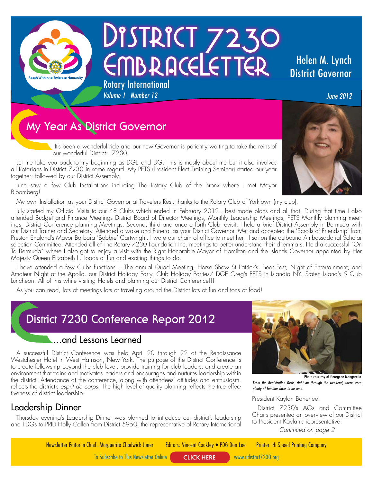

# DISTRICT 7230 EMBRACELETTER Rotary International

# Helen M. Lynch District Governor

*June 2012*

# **My Year As District Governor**

It's been a wonderful ride and our new Governor is patiently waiting to take the reins of our wonderful District…7230.

Let me take you back to my beginning as DGE and DG. This is mostly about me but it also involves all Rotarians in District 7230 in some regard. My PETS (President Elect Training Seminar) started our year together; followed by our District Assembly.

*Volume 1 Number 12* 

June saw a few Club Installations including The Rotary Club of the Bronx where I met Mayor Bloomberg!

My own Installation as your District Governor at Travelers Rest, thanks to the Rotary Club of Yorktown (my club).

July started my Official Visits to our 48 Clubs which ended in February 2012…best made plans and all that. During that time I also attended Budget and Finance Meetings District Board of Director Meetings, Monthly Leadership Meetings, PETS Monthly planning meetings, District Conference planning Meetings. Second, third and once a forth Club revisit. I held a brief District Assembly in Bermuda with our District Trainer and Secretary. Attended a wake and Funeral as your District Governor. Met and accepted the 'Scrolls of Friendship' from Preston England's Mayor Barbara 'Bobbie' Cartwright, I wore our chain of office to meet her. I sat on the outbound Ambassadorial Scholar selection Committee. Attended all of The Rotary 7230 Foundation Inc. meetings to better understand their dilemma s. Held a successful "On To Bermuda" where I also got to enjoy a visit with the Right Honorable Mayor of Hamilton and the Islands Governor appointed by Her Majesty Queen Elizabeth II. Loads of fun and exciting things to do.

I have attended a few Clubs functions …The annual Quad Meeting, Horse Show St Patrick's, Beer Fest, Night of Entertainment, and Amateur Night at the Apollo, our District Holiday Party. Club Holiday Parties/ DGE Greg's PETS in Islandia NY. Staten Island's 5 Club Luncheon. All of this while visiting Hotels and planning our District Conference!!!

As you can read, lots of meetings lots of traveling around the District lots of fun and tons of food!

# **District 7230 Conference Report 2012**

### …and Lessons Learned

A successful District Conference was held April 20 through 22 at the Renaissance Westchester Hotel in West Harrison, New York. The purpose of the District Conference is to create fellowship beyond the club level, provide training for club leaders, and create an environment that trains and motivates leaders and encourages and nurtures leadership within the district. Attendance at the conference, along with attendees' attitudes and enthusiasm, reflects the district's *esprit de corps*. The high level of quality planning reflects the true effectiveness of district leadership.

### Leadership Dinner

Thursday evening's Leadership Dinner was planned to introduce our district's leadership and PDGs to PRID Holly Callen from District 5950, the representative of Rotary International *Continued on page 2*



Photo courtesy of Georgene Mongarella *From the Registration Desk, right on through the weekend, there were plenty of familiar faces to be seen.*

#### President Kaylan Banerjee.

District 7230's AGs and Committee Chairs presented an overview of our District to President Kaylan's representative.

Newsletter Editor-in-Chief: Marguerite Chadwick-Juner Editors: Vincent Coakley • PDG Don Lee Printer: Hi-Speed Printing Company

To Subscribe to This Newsletter Online **CLICK HERE** www.ridistrict7230.org

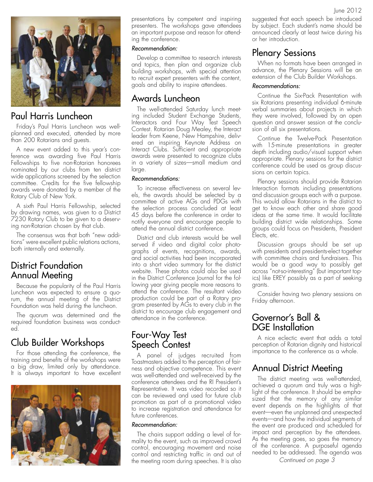

### Paul Harris Luncheon

Friday's Paul Harris Luncheon was wellplanned and executed, attended by more than 200 Rotarians and guests.

A new event added to this year's conference was awarding five Paul Harris Fellowships to five non-Rotarian honorees nominated by our clubs from ten district wide applications screened by the selection committee. Credits for the five fellowship awards were donated by a member of the Rotary Club of New York.

A sixth Paul Harris Fellowship, selected by drawing names, was given to a District 7230 Rotary Club to be given to a deserving non-Rotarian chosen by that club.

The consensus was that both "new additions" were excellent public relations actions, both internally and externally.

### District Foundation Annual Meeting

Because the popularity of the Paul Harris Luncheon was expected to ensure a quorum, the annual meeting of the District Foundation was held during the luncheon.

The quorum was determined and the required foundation business was conducted.

### Club Builder Workshops

For those attending the conference, the training and benefits of the workshops were a big draw, limited only by attendance. It is always important to have excellent



presentations by competent and inspiring presenters. The workshops gave attendees an important purpose and reason for attending the conference.

#### *Recommendation:*

Develop a committee to research interests and topics, then plan and organize club building workshops, with special attention to recruit expert presenters with the content, goals and ability to inspire attendees.

#### Awards Luncheon

The well-attended Saturday lunch meeting included Student Exchange Students, Interactors and Four Way Test Speech Contest. Rotarian Doug Mealey, the Interact leader from Keene, New Hampshire, delivered an inspiring Keynote Address on Interact Clubs. Sufficient and appropriate awards were presented to recognize clubs in a variety of sizes—small medium and large.

#### *Recommendations:*

To increase effectiveness on several levels, the awards should be selected by a committee of active AGs and PDGs with the selection process concluded at least 45 days before the conference in order to notify everyone and encourage people to attend the annual district conference.

District and club interests would be well served if video and digital color photographs of events, recognitions, awards, and social activities had been incorporated into a short video summary for the district website. These photos could also be used in the District Conference Journal for the following year giving people more reasons to attend the conference. The resultant video production could be part of a Rotary program presented by AGs to every club in the district to encourage club engagement and attendance in the conference.

#### Four-Way Test Speech Contest

A panel of judges recruited from Toastmasters added to the perception of fairness and objective competence. This event was well-attended and well-received by the conference attendees and the RI President's Representative. It was video recorded so it can be reviewed and used for future club promotion as part of a promotional video to increase registration and attendance for future conferences.

#### *Recommendation:*

The chairs support adding a level of formality to the event, such as improved crowd control, encouraging movement and noise control and restricting traffic in and out of the meeting room during speeches. It is also

suggested that each speech be introduced by subject. Each student's name should be announced clearly at least twice during his or her introduction.

#### Plenary Sessions

When no formats have been arranged in advance, the Plenary Sessions will be an extension of the Club Builder Workshops.

#### *Recommendations:*

Continue the Six-Pack Presentation with six Rotarians presenting individual 6-minute verbal summaries about projects in which they were involved, followed by an open question and answer session at the conclusion of all six presentations.

Continue the Twelve-Pack Presentation with 15-minute presentations in greater depth including audio/visual support when appropriate. Plenary sessions for the district conference could be used as group discussions on certain topics.

Plenary sessions should provide Rotarian Interaction formats including presentations and discussion groups each with a purpose. This would allow Rotarians in the district to get to know each other and share good ideas at the same time. It would facilitate building district wide relationships. Some groups could focus on Presidents, President Elects, etc.

Discussion groups should be set up with presidents and presidents-elect together with committee chairs and fundraisers. This would be a good way to possibly get across "not-so-interesting" (but important topics) like EREY possibly as a part of seeking grants.

Consider having two plenary sessions on Friday afternoon.

#### Governor's Ball & DGE Installation

A nice eclectic event that adds a total perception of Rotarian dignity and historical importance to the conference as a whole.

### Annual District Meeting

The district meeting was well-attended, achieved a quorum and truly was a highlight of the conference. It should be emphasized that the memory of any similar event depends on the highlights of that event—even the unplanned and unexpected events—and how the individual segments of the event are produced and scheduled for impact and perception by the attendees. As the meeting goes, so goes the memory of the conference. A purposeful agenda needed to be addressed. The agenda was

*Continued on page 3*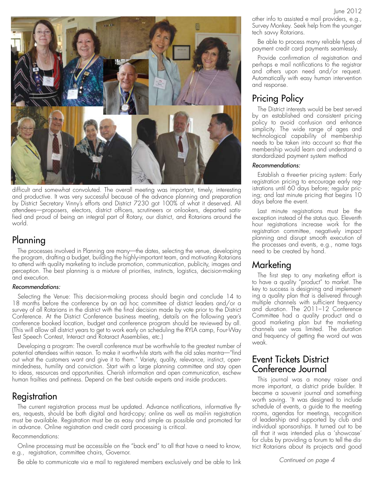

difficult and somewhat convoluted. The overall meeting was important, timely, interesting and productive. It was very successful because of the advance planning and preparation by District Secretary Vinny's efforts and District 7230 got 100% of what it deserved. All attendees—proposers, electors, district officers, scrutineers or onlookers, departed satisfied and proud of being an integral part of Rotary, our district, and Rotarians around the world.

### Planning

The processes involved in Planning are many—the dates, selecting the venue, developing the program, drafting a budget, building the highly-important team, and motivating Rotarians to attend with quality marketing to include promotion, communication, publicity, images and perception. The best planning is a mixture of priorities, instincts, logistics, decision-making and execution.

#### *Recommendations:*

Selecting the Venue: This decision-making process should begin and conclude 14 to 18 months before the conference by an ad hoc committee of district leaders and/or a survey of all Rotarians in the district with the final decision made by vote prior to the District Conference. At the District Conference business meeting, details on the following year's conference booked location, budget and conference program should be reviewed by all. (This will allow all district years to get to work early on scheduling the RYLA camp, Four-Way Test Speech Contest, Interact and Rotaract Assemblies, etc.)

Developing a program: The overall conference must be worthwhile to the greatest number of potential attendees within reason. To make it worthwhile starts with the old sales mantra—"find out what the customers want and give it to them." Variety, quality, relevance, instinct, openmindedness, humility and conviction. Start with a large planning committee and stay open to ideas, resources and opportunities. Cherish information and open communication, eschew human frailties and pettiness. Depend on the best outside experts and inside producers.

### Registration

The current registration process must be updated. Advance notifications, informative flyers, requests, should be both digital and hard-copy; online as well as mail-in registration must be available. Registration must be as easy and simple as possible and promoted far in advance. Online registration and credit card processing is critical.

#### Recommendations:

Online processing must be accessible on the "back end" to all that have a need to know, e.g., registration, committee chairs, Governor.

Be able to communicate via e mail to registered members exclusively and be able to link

other info to assisted e mail providers, e.g., Survey Monkey. Seek help from the younger tech savvy Rotarians.

Be able to process many reliable types of payment credit card payments seamlessly.

Provide confirmation of registration and perhaps e mail notifications to the registrar and others upon need and/or request. Automatically with easy human intervention and response.

# Pricing Policy

The District interests would be best served by an established and consistent pricing policy to avoid confusion and enhance simplicity. The wide range of ages and technological capability of membership needs to be taken into account so that the membership would learn and understand a standardized payment system method

#### *Recommendations:*

Establish a three-tier pricing system: Early registration pricing to encourage early registrations until 60 days before; regular pricing; and last minute pricing that begins 10 days before the event.

Last minute registrations must be the exception instead of the status quo. Eleventh hour registrations increase work for the registration committee, negatively impact planning and disrupt smooth execution of the processes and events, e.g., name tags need to be created by hand.

### Marketing

The first step to any marketing effort is to have a quality "product" to market. The key to success is designing and implementing a quality plan that is delivered through multiple channels with sufficient frequency and duration. The 2011–12 Conference Committee had a quality product and a good marketing plan but the marketing channels use was limited. The duration and frequency of getting the word out was weak.

### Event Tickets District Conference Journal

This journal was a money raiser and more important, a district pride builder. It became a souvenir journal and something worth saving. `It was designed to include schedule of events, a guide to the meeting rooms, agendas for meetings, recognition of leadership and supported by club and individual sponsorships. It turned out to be all that it was intended plus a 'showcase' for clubs by providing a forum to tell the district Rotarians about its projects and good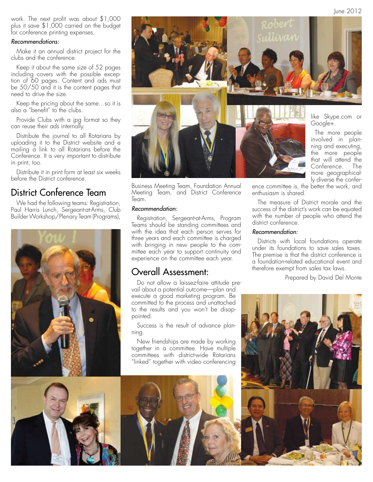June 2012

work. The next profit was about \$1,000 plus it save \$1,000 carried on the budget for conference printing expenses.

#### *Recommendations:*

Make it an annual district project for the clubs and the conference.

Keep it about the same size of 52 pages including covers with the possible exception of 60 pages. Content and ads must be 50/50 and it is the content pages that need to drive the size.

Keep the pricing about the same…so it is also a "benefit" to the clubs.

Provide Clubs with a jpg format so they can reuse their ads internally.

Distribute the journal to all Rotarians by uploading it to the District website and e mailing a link to all Rotarians before the Conference. It is very important to distribute in print, too.

Distribute it in print form at least six weeks before the District conference.

### District Conference Team

We had the following teams: Registration, Paul Harris Lunch, Sergeant-at-Arms, Club Builder Workshop/Plenary Team (Programs),





Business Meeting Team, Foundation Annual Meeting Team, and District Conference Team.

#### *Recommendation:*

Registration, Sergeant-at-Arms, Program Teams should be standing committees and with the idea that each person serves for three years and each committee is charged with bringing in new people to the committee each year to support continuity and experience on the committee each year.

#### Overall Assessment:

Do not allow a laissez-faire attitude prevail about a potential outcome—plan and execute a good marketing program. Be committed to the process and unattached to the results and you won't be disappointed.

Success is the result of advance planning.

New friendships are made by working together in a committee. Have multiple committees with district-wide Rotarians "linked" together with video conferencing

ence committee is, the better the work, and enthusiasm is shared.

The measure of District morale and the success of the district's work can be equated with the number of people who attend the district conference.

#### *Recommendation:*

Districts with local foundations operate under its foundations to save sales taxes. The premise is that the district conference is a foundation-related educational event and therefore exempt from sales tax laws.

Prepared by David Del Monte

ly diverse the confer-



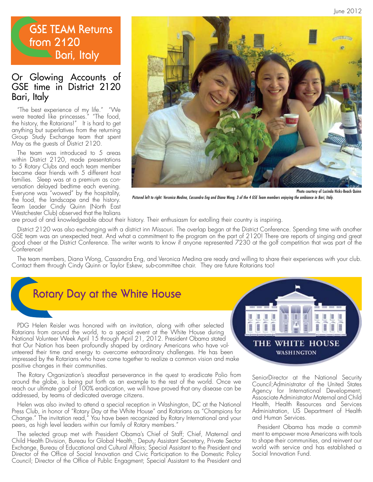# **GSE TEAM Returns from 2120 Bari, Italy**

### Or Glowing Accounts of GSE time in District 2120 Bari, Italy

"The best experience of my life." "We were treated like princesses." "The food, the history, the Rotarians!" It is hard to get anything but superlatives from the returning Group Study Exchange team that spent May as the guests of District 2120.

The team was introduced to 5 areas within District 2120, made presentations to 5 Rotary Clubs and each team member became dear friends with 5 different host families. Sleep was at a premium as conversation delayed bedtime each evening. Everyone was "wowed" by the hospitality, the food, the landscape and the history. Team Leader Cindy Quinn (North East Westchester Club) observed that the Italians



*Pictured left to right: Veronica Medina, Cassandra Eng and Diana Wong, 3 of the 4 GSE Team members enjoying the ambiance in Bari, Italy.*

are proud of and knowledgeable about their history. Their enthusiasm for extolling their country is inspiring.

District 2120 was also exchanging with a district inn Missouri. The overlap began at the District Conference. Spending time with another GSE team was an unexpected treat. And what a commitment to the program on the part of 2120! There are reports of singing and great good cheer at the District Conference. The writer wants to know if anyone represented 7230 at the golf competition that was part of the Conference!

The team members, Diana Wong, Cassandra Eng, and Veronica Medina are ready and willing to share their experiences with your club. Contact them through Cindy Quinn or Taylor Eskew, sub-committee chair. They are future Rotarians too!

# **Rotary Day at the White House**

PDG Helen Reisler was honored with an invitation, along with other selected Rotarians from around the world, to a special event at the White House during National Volunteer Week April 15 through April 21, 2012. President Obama stated that Our Nation has been profoundly shaped by ordinary Americans who have volunteered their time and energy to overcome extraordinary challenges. He has been impressed by the Rotarians who have come together to realize a common vision and make positive changes in their communities.

The Rotary Organization's steadfast perseverance in the quest to eradicate Polio from around the globe, is being put forth as an example to the rest of the world. Once we reach our ultimate goal of 100% eradication, we will have proved that any disease can be addressed, by teams of dedicated average citizens.

Helen was also invited to attend a special reception in Washington, DC at the National Press Club, in honor of "Rotary Day at the White House" and Rotarians as "Champions for Change." The invitation read," You have been recognized by Rotary International and your peers, as high level leaders within our family of Rotary members."

The selected group met with President Obama's Chief of Staff; Chief, Maternal and Child Health Division, Bureau for Global Health,; Deputy Assistant Secretary, Private Sector Exchange, Bureau of Educational and Cultural Affairs; Special Assistant to the President and Director of the Office of Social Innovation and Civic Participation to the Domestic Policy Council; Director of the Office of Public Engagment; Special Assistant to the President and



SeniorDirector at the National Security Council;Administrator of the United States Agency for International Development; Assosciate Administrator Maternal and Child Health, Health Resources and Services Administration, US Department of Health and Human Services.

President Obama has made a commitment to empower more Americans with tools to shape their communities, and reinvent our world with service and has established a Social Innovation Fund.